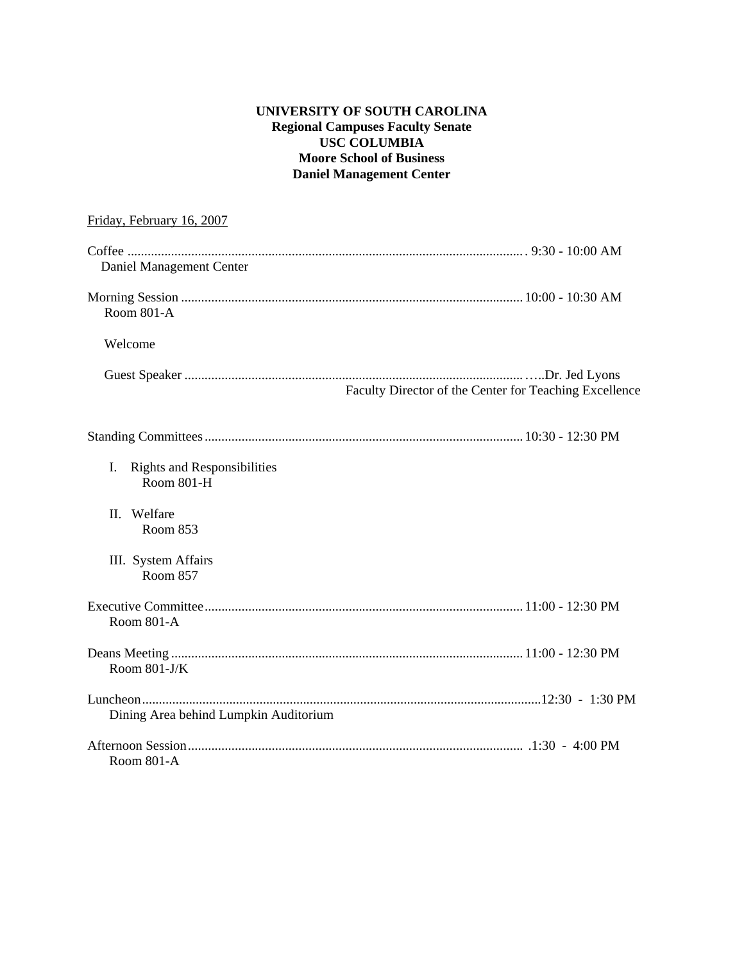#### **UNIVERSITY OF SOUTH CAROLINA Regional Campuses Faculty Senate USC COLUMBIA Moore School of Business Daniel Management Center**

| Friday, February 16, 2007                                     |                                                        |
|---------------------------------------------------------------|--------------------------------------------------------|
| Daniel Management Center                                      |                                                        |
| Room $801-A$                                                  |                                                        |
| Welcome                                                       |                                                        |
|                                                               | Faculty Director of the Center for Teaching Excellence |
|                                                               |                                                        |
| I.<br><b>Rights and Responsibilities</b><br><b>Room 801-H</b> |                                                        |
| II. Welfare<br>Room 853                                       |                                                        |
| III. System Affairs<br><b>Room 857</b>                        |                                                        |
| Room 801-A                                                    |                                                        |
| Room $801-J/K$                                                |                                                        |
|                                                               |                                                        |
| Dining Area behind Lumpkin Auditorium                         |                                                        |
| Room 801-A                                                    |                                                        |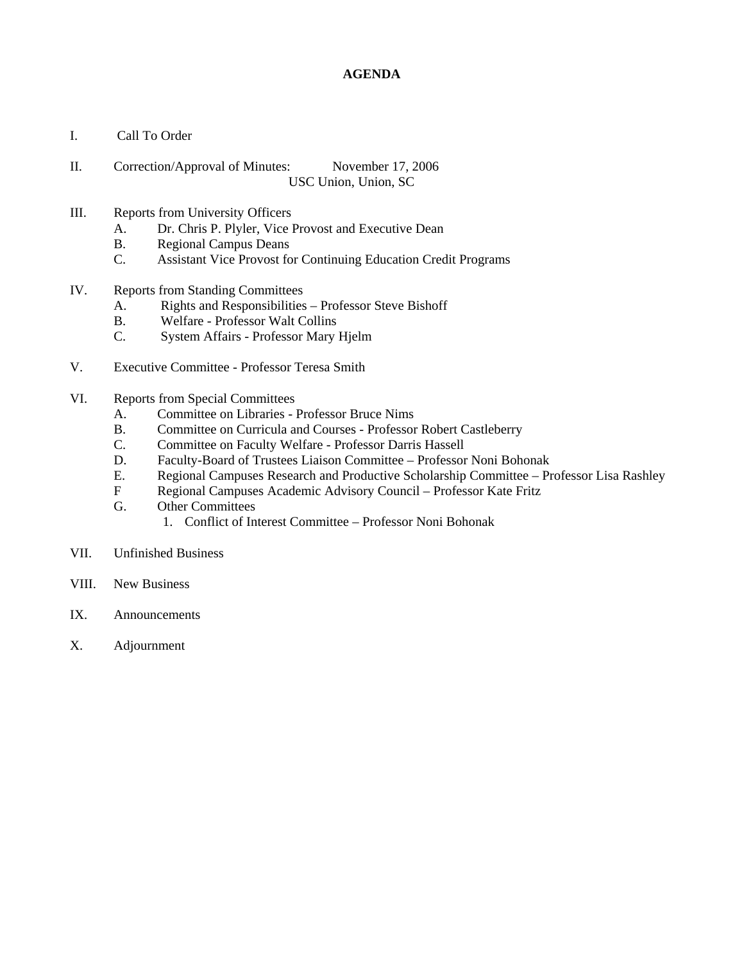#### **AGENDA**

- I. Call To Order
- II. Correction/Approval of Minutes: November 17, 2006 USC Union, Union, SC
- III. Reports from University Officers
	- A. Dr. Chris P. Plyler, Vice Provost and Executive Dean
	- B. Regional Campus Deans
	- C. Assistant Vice Provost for Continuing Education Credit Programs
- IV. Reports from Standing Committees
	- A. Rights and Responsibilities Professor Steve Bishoff
	- B. Welfare Professor Walt Collins
	- C. System Affairs Professor Mary Hjelm
- V. Executive Committee Professor Teresa Smith
- VI. Reports from Special Committees
	- A. Committee on Libraries Professor Bruce Nims
	- B. Committee on Curricula and Courses Professor Robert Castleberry
	- C. Committee on Faculty Welfare Professor Darris Hassell
	- D. Faculty-Board of Trustees Liaison Committee Professor Noni Bohonak
	- E. Regional Campuses Research and Productive Scholarship Committee Professor Lisa Rashley
	- F Regional Campuses Academic Advisory Council Professor Kate Fritz
	- G. Other Committees
		- 1. Conflict of Interest Committee Professor Noni Bohonak
- VII. Unfinished Business
- VIII. New Business
- IX. Announcements
- X. Adjournment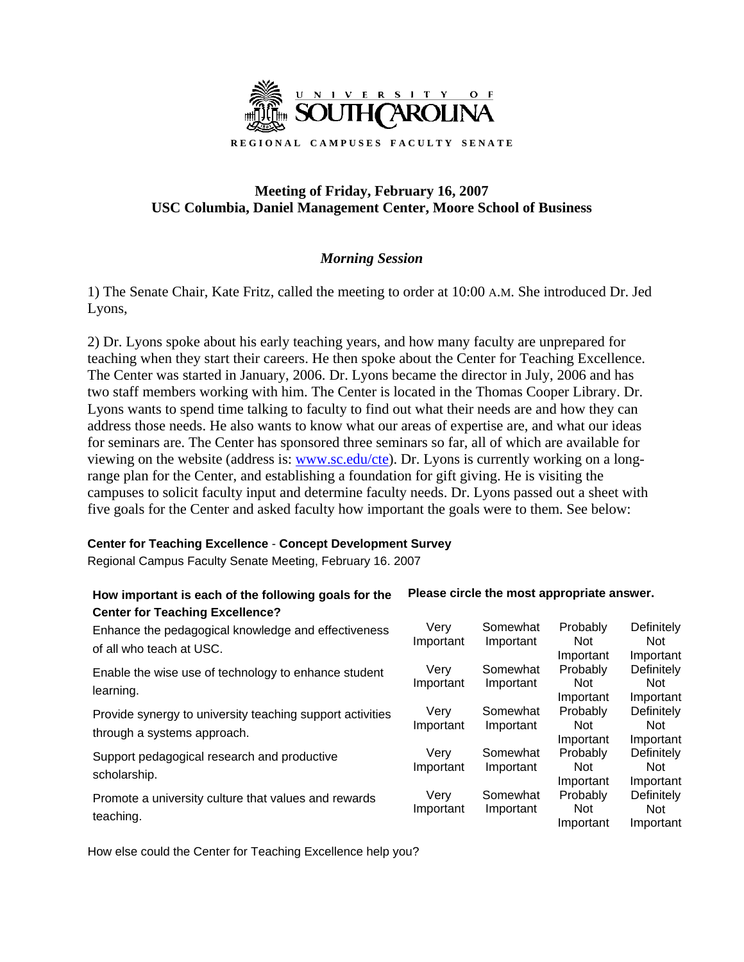

# **Meeting of Friday, February 16, 2007 USC Columbia, Daniel Management Center, Moore School of Business**

# *Morning Session*

1) The Senate Chair, Kate Fritz, called the meeting to order at 10:00 A.M. She introduced Dr. Jed Lyons,

2) Dr. Lyons spoke about his early teaching years, and how many faculty are unprepared for teaching when they start their careers. He then spoke about the Center for Teaching Excellence. The Center was started in January, 2006. Dr. Lyons became the director in July, 2006 and has two staff members working with him. The Center is located in the Thomas Cooper Library. Dr. Lyons wants to spend time talking to faculty to find out what their needs are and how they can address those needs. He also wants to know what our areas of expertise are, and what our ideas for seminars are. The Center has sponsored three seminars so far, all of which are available for viewing on the website (address is: [www.sc.edu/cte\)](http://www.sc.edu/cte). Dr. Lyons is currently working on a longrange plan for the Center, and establishing a foundation for gift giving. He is visiting the campuses to solicit faculty input and determine faculty needs. Dr. Lyons passed out a sheet with five goals for the Center and asked faculty how important the goals were to them. See below:

#### **Center for Teaching Excellence** - **Concept Development Survey**

Regional Campus Faculty Senate Meeting, February 16. 2007

#### **How important is each of the following goals for the Center for Teaching Excellence? Please circle the most appropriate answer.**   $\sim$   $\sim$   $\sim$ Probably  $\mathbb{R}$  define the set

| Enhance the pedagogical knowledge and effectiveness<br>of all who teach at USC.          | Verv<br>Important | Somewhat<br>Important | Probably<br><b>Not</b><br>Important | Definitely<br><b>Not</b><br>Important |
|------------------------------------------------------------------------------------------|-------------------|-----------------------|-------------------------------------|---------------------------------------|
| Enable the wise use of technology to enhance student<br>learning.                        | Verv<br>Important | Somewhat<br>Important | Probably<br>Not.<br>Important       | Definitely<br>Not<br>Important        |
| Provide synergy to university teaching support activities<br>through a systems approach. | Verv<br>Important | Somewhat<br>Important | Probably<br>Not<br>Important        | Definitely<br>Not<br>Important        |
| Support pedagogical research and productive<br>scholarship.                              | Verv<br>Important | Somewhat<br>Important | Probably<br><b>Not</b><br>Important | Definitely<br>Not<br>Important        |
| Promote a university culture that values and rewards<br>teaching.                        | Very<br>Important | Somewhat<br>Important | Probably<br><b>Not</b><br>Important | Definitely<br>Not.<br>Important       |

How else could the Center for Teaching Excellence help you?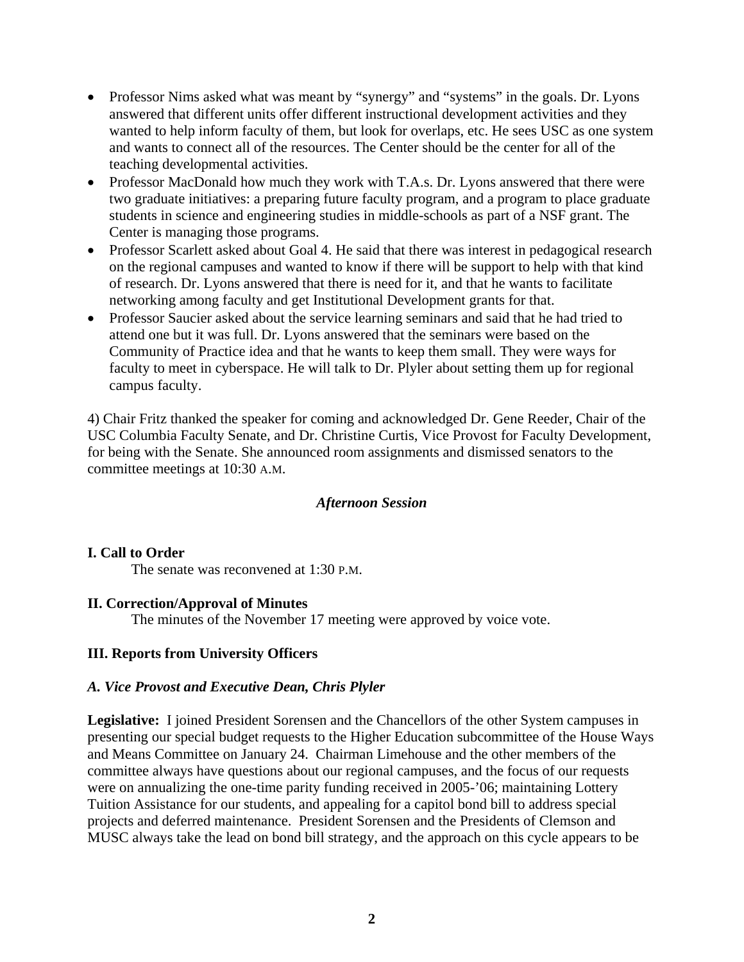- Professor Nims asked what was meant by "synergy" and "systems" in the goals. Dr. Lyons answered that different units offer different instructional development activities and they wanted to help inform faculty of them, but look for overlaps, etc. He sees USC as one system and wants to connect all of the resources. The Center should be the center for all of the teaching developmental activities.
- Professor MacDonald how much they work with T.A.s. Dr. Lyons answered that there were two graduate initiatives: a preparing future faculty program, and a program to place graduate students in science and engineering studies in middle-schools as part of a NSF grant. The Center is managing those programs.
- Professor Scarlett asked about Goal 4. He said that there was interest in pedagogical research on the regional campuses and wanted to know if there will be support to help with that kind of research. Dr. Lyons answered that there is need for it, and that he wants to facilitate networking among faculty and get Institutional Development grants for that.
- Professor Saucier asked about the service learning seminars and said that he had tried to attend one but it was full. Dr. Lyons answered that the seminars were based on the Community of Practice idea and that he wants to keep them small. They were ways for faculty to meet in cyberspace. He will talk to Dr. Plyler about setting them up for regional campus faculty.

4) Chair Fritz thanked the speaker for coming and acknowledged Dr. Gene Reeder, Chair of the USC Columbia Faculty Senate, and Dr. Christine Curtis, Vice Provost for Faculty Development, for being with the Senate. She announced room assignments and dismissed senators to the committee meetings at 10:30 A.M.

#### *Afternoon Session*

#### **I. Call to Order**

The senate was reconvened at 1:30 P.M.

#### **II. Correction/Approval of Minutes**

The minutes of the November 17 meeting were approved by voice vote.

#### **III. Reports from University Officers**

#### *A. Vice Provost and Executive Dean, Chris Plyler*

**Legislative:** I joined President Sorensen and the Chancellors of the other System campuses in presenting our special budget requests to the Higher Education subcommittee of the House Ways and Means Committee on January 24. Chairman Limehouse and the other members of the committee always have questions about our regional campuses, and the focus of our requests were on annualizing the one-time parity funding received in 2005-'06; maintaining Lottery Tuition Assistance for our students, and appealing for a capitol bond bill to address special projects and deferred maintenance. President Sorensen and the Presidents of Clemson and MUSC always take the lead on bond bill strategy, and the approach on this cycle appears to be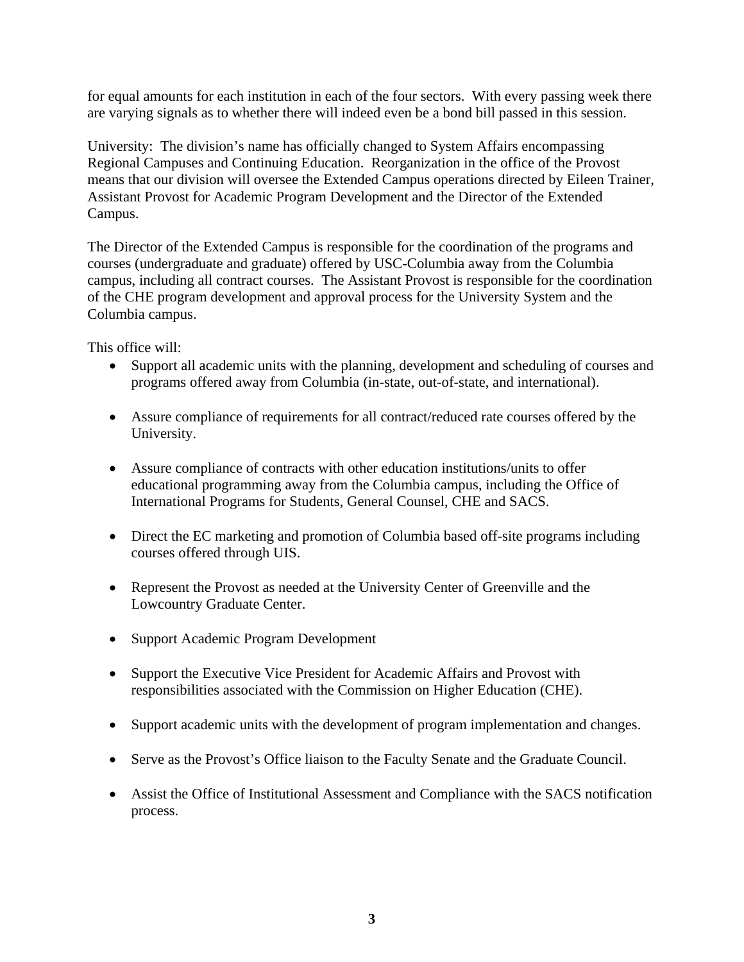for equal amounts for each institution in each of the four sectors. With every passing week there are varying signals as to whether there will indeed even be a bond bill passed in this session.

University: The division's name has officially changed to System Affairs encompassing Regional Campuses and Continuing Education. Reorganization in the office of the Provost means that our division will oversee the Extended Campus operations directed by Eileen Trainer, Assistant Provost for Academic Program Development and the Director of the Extended Campus.

The Director of the Extended Campus is responsible for the coordination of the programs and courses (undergraduate and graduate) offered by USC-Columbia away from the Columbia campus, including all contract courses. The Assistant Provost is responsible for the coordination of the CHE program development and approval process for the University System and the Columbia campus.

This office will:

- Support all academic units with the planning, development and scheduling of courses and programs offered away from Columbia (in-state, out-of-state, and international).
- Assure compliance of requirements for all contract/reduced rate courses offered by the University.
- Assure compliance of contracts with other education institutions/units to offer educational programming away from the Columbia campus, including the Office of International Programs for Students, General Counsel, CHE and SACS.
- Direct the EC marketing and promotion of Columbia based off-site programs including courses offered through UIS.
- Represent the Provost as needed at the University Center of Greenville and the Lowcountry Graduate Center.
- Support Academic Program Development
- Support the Executive Vice President for Academic Affairs and Provost with responsibilities associated with the Commission on Higher Education (CHE).
- Support academic units with the development of program implementation and changes.
- Serve as the Provost's Office liaison to the Faculty Senate and the Graduate Council.
- Assist the Office of Institutional Assessment and Compliance with the SACS notification process.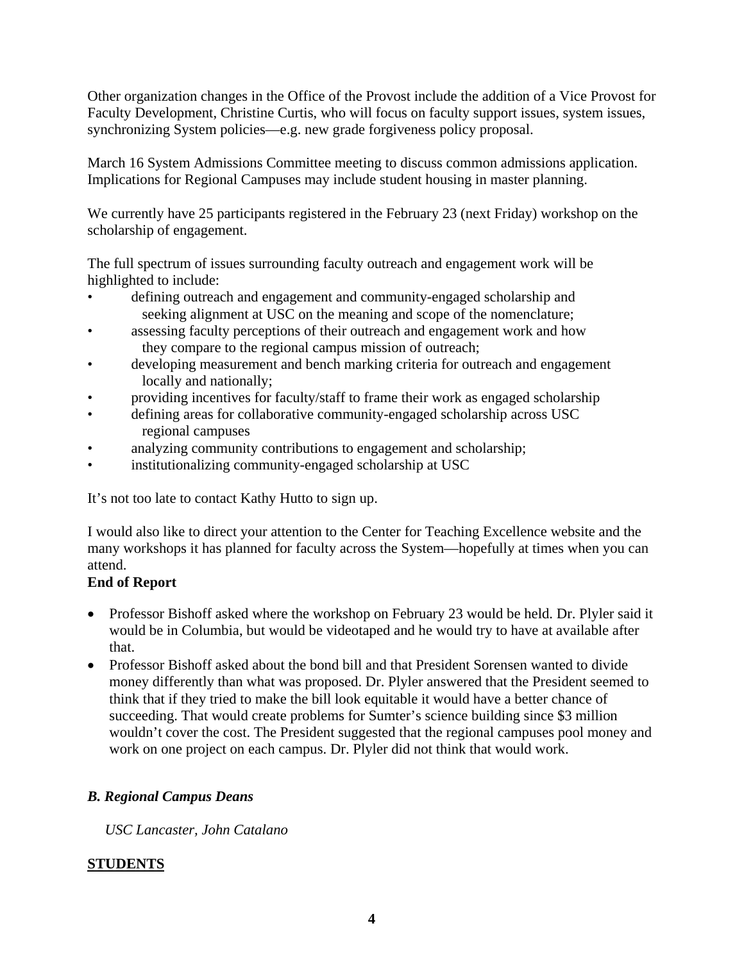Other organization changes in the Office of the Provost include the addition of a Vice Provost for Faculty Development, Christine Curtis, who will focus on faculty support issues, system issues, synchronizing System policies—e.g. new grade forgiveness policy proposal.

March 16 System Admissions Committee meeting to discuss common admissions application. Implications for Regional Campuses may include student housing in master planning.

We currently have 25 participants registered in the February 23 (next Friday) workshop on the scholarship of engagement.

The full spectrum of issues surrounding faculty outreach and engagement work will be highlighted to include:

- defining outreach and engagement and community-engaged scholarship and seeking alignment at USC on the meaning and scope of the nomenclature;
- assessing faculty perceptions of their outreach and engagement work and how they compare to the regional campus mission of outreach;
- developing measurement and bench marking criteria for outreach and engagement locally and nationally;
- providing incentives for faculty/staff to frame their work as engaged scholarship
- defining areas for collaborative community-engaged scholarship across USC regional campuses
- analyzing community contributions to engagement and scholarship;
- institutionalizing community-engaged scholarship at USC

It's not too late to contact Kathy Hutto to sign up.

I would also like to direct your attention to the Center for Teaching Excellence website and the many workshops it has planned for faculty across the System—hopefully at times when you can attend.

# **End of Report**

- Professor Bishoff asked where the workshop on February 23 would be held. Dr. Plyler said it would be in Columbia, but would be videotaped and he would try to have at available after that.
- Professor Bishoff asked about the bond bill and that President Sorensen wanted to divide money differently than what was proposed. Dr. Plyler answered that the President seemed to think that if they tried to make the bill look equitable it would have a better chance of succeeding. That would create problems for Sumter's science building since \$3 million wouldn't cover the cost. The President suggested that the regional campuses pool money and work on one project on each campus. Dr. Plyler did not think that would work.

# *B. Regional Campus Deans*

*USC Lancaster, John Catalano* 

# **STUDENTS**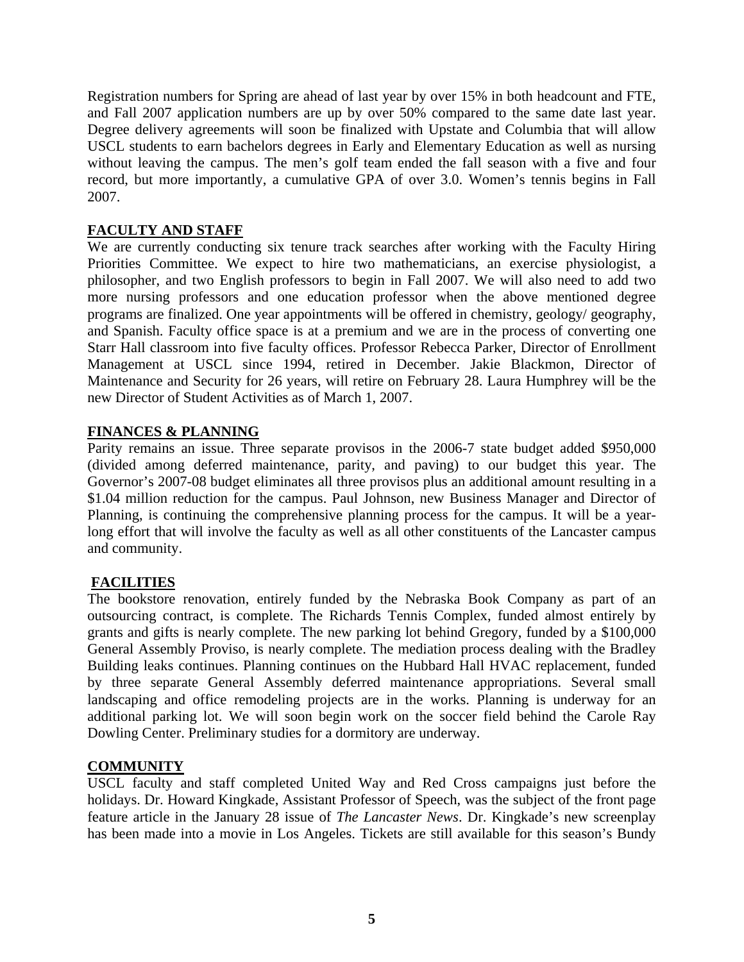Registration numbers for Spring are ahead of last year by over 15% in both headcount and FTE, and Fall 2007 application numbers are up by over 50% compared to the same date last year. Degree delivery agreements will soon be finalized with Upstate and Columbia that will allow USCL students to earn bachelors degrees in Early and Elementary Education as well as nursing without leaving the campus. The men's golf team ended the fall season with a five and four record, but more importantly, a cumulative GPA of over 3.0. Women's tennis begins in Fall 2007.

# **FACULTY AND STAFF**

We are currently conducting six tenure track searches after working with the Faculty Hiring Priorities Committee. We expect to hire two mathematicians, an exercise physiologist, a philosopher, and two English professors to begin in Fall 2007. We will also need to add two more nursing professors and one education professor when the above mentioned degree programs are finalized. One year appointments will be offered in chemistry, geology/ geography, and Spanish. Faculty office space is at a premium and we are in the process of converting one Starr Hall classroom into five faculty offices. Professor Rebecca Parker, Director of Enrollment Management at USCL since 1994, retired in December. Jakie Blackmon, Director of Maintenance and Security for 26 years, will retire on February 28. Laura Humphrey will be the new Director of Student Activities as of March 1, 2007.

# **FINANCES & PLANNING**

Parity remains an issue. Three separate provisos in the 2006-7 state budget added \$950,000 (divided among deferred maintenance, parity, and paving) to our budget this year. The Governor's 2007-08 budget eliminates all three provisos plus an additional amount resulting in a \$1.04 million reduction for the campus. Paul Johnson, new Business Manager and Director of Planning, is continuing the comprehensive planning process for the campus. It will be a yearlong effort that will involve the faculty as well as all other constituents of the Lancaster campus and community.

# **FACILITIES**

The bookstore renovation, entirely funded by the Nebraska Book Company as part of an outsourcing contract, is complete. The Richards Tennis Complex, funded almost entirely by grants and gifts is nearly complete. The new parking lot behind Gregory, funded by a \$100,000 General Assembly Proviso, is nearly complete. The mediation process dealing with the Bradley Building leaks continues. Planning continues on the Hubbard Hall HVAC replacement, funded by three separate General Assembly deferred maintenance appropriations. Several small landscaping and office remodeling projects are in the works. Planning is underway for an additional parking lot. We will soon begin work on the soccer field behind the Carole Ray Dowling Center. Preliminary studies for a dormitory are underway.

#### **COMMUNITY**

USCL faculty and staff completed United Way and Red Cross campaigns just before the holidays. Dr. Howard Kingkade, Assistant Professor of Speech, was the subject of the front page feature article in the January 28 issue of *The Lancaster News*. Dr. Kingkade's new screenplay has been made into a movie in Los Angeles. Tickets are still available for this season's Bundy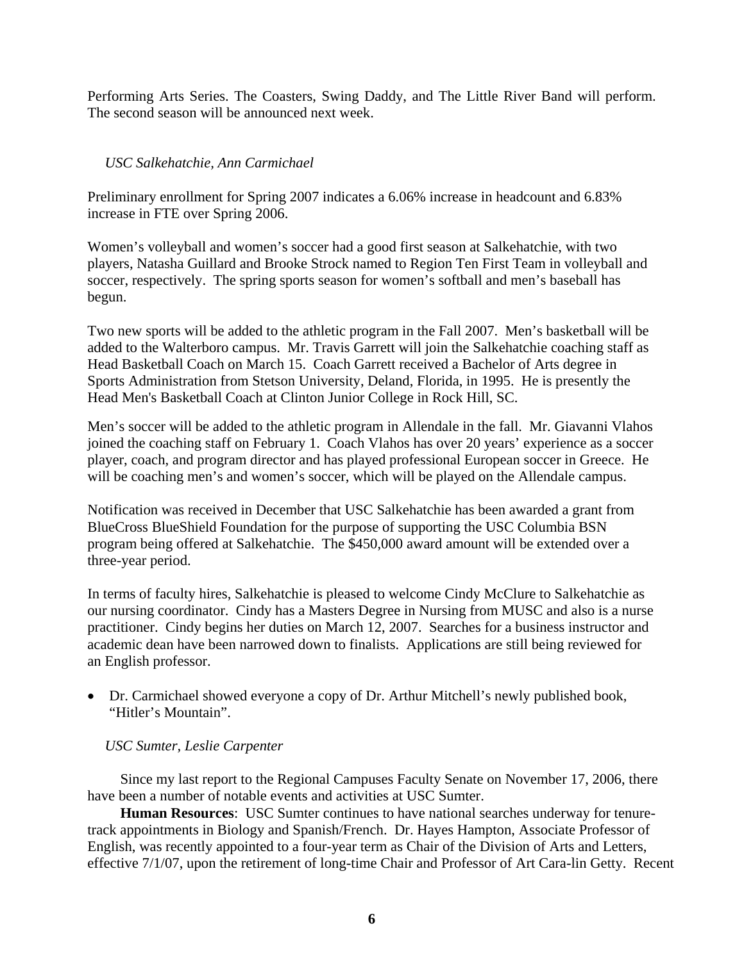Performing Arts Series. The Coasters, Swing Daddy, and The Little River Band will perform. The second season will be announced next week.

#### *USC Salkehatchie, Ann Carmichael*

Preliminary enrollment for Spring 2007 indicates a 6.06% increase in headcount and 6.83% increase in FTE over Spring 2006.

Women's volleyball and women's soccer had a good first season at Salkehatchie, with two players, Natasha Guillard and Brooke Strock named to Region Ten First Team in volleyball and soccer, respectively. The spring sports season for women's softball and men's baseball has begun.

Two new sports will be added to the athletic program in the Fall 2007. Men's basketball will be added to the Walterboro campus. Mr. Travis Garrett will join the Salkehatchie coaching staff as Head Basketball Coach on March 15. Coach Garrett received a Bachelor of Arts degree in Sports Administration from Stetson University, Deland, Florida, in 1995. He is presently the Head Men's Basketball Coach at Clinton Junior College in Rock Hill, SC.

Men's soccer will be added to the athletic program in Allendale in the fall. Mr. Giavanni Vlahos joined the coaching staff on February 1. Coach Vlahos has over 20 years' experience as a soccer player, coach, and program director and has played professional European soccer in Greece. He will be coaching men's and women's soccer, which will be played on the Allendale campus.

Notification was received in December that USC Salkehatchie has been awarded a grant from BlueCross BlueShield Foundation for the purpose of supporting the USC Columbia BSN program being offered at Salkehatchie. The \$450,000 award amount will be extended over a three-year period.

In terms of faculty hires, Salkehatchie is pleased to welcome Cindy McClure to Salkehatchie as our nursing coordinator. Cindy has a Masters Degree in Nursing from MUSC and also is a nurse practitioner. Cindy begins her duties on March 12, 2007. Searches for a business instructor and academic dean have been narrowed down to finalists. Applications are still being reviewed for an English professor.

• Dr. Carmichael showed everyone a copy of Dr. Arthur Mitchell's newly published book, "Hitler's Mountain".

#### *USC Sumter, Leslie Carpenter*

Since my last report to the Regional Campuses Faculty Senate on November 17, 2006, there have been a number of notable events and activities at USC Sumter.

**Human Resources**: USC Sumter continues to have national searches underway for tenuretrack appointments in Biology and Spanish/French. Dr. Hayes Hampton, Associate Professor of English, was recently appointed to a four-year term as Chair of the Division of Arts and Letters, effective 7/1/07, upon the retirement of long-time Chair and Professor of Art Cara-lin Getty. Recent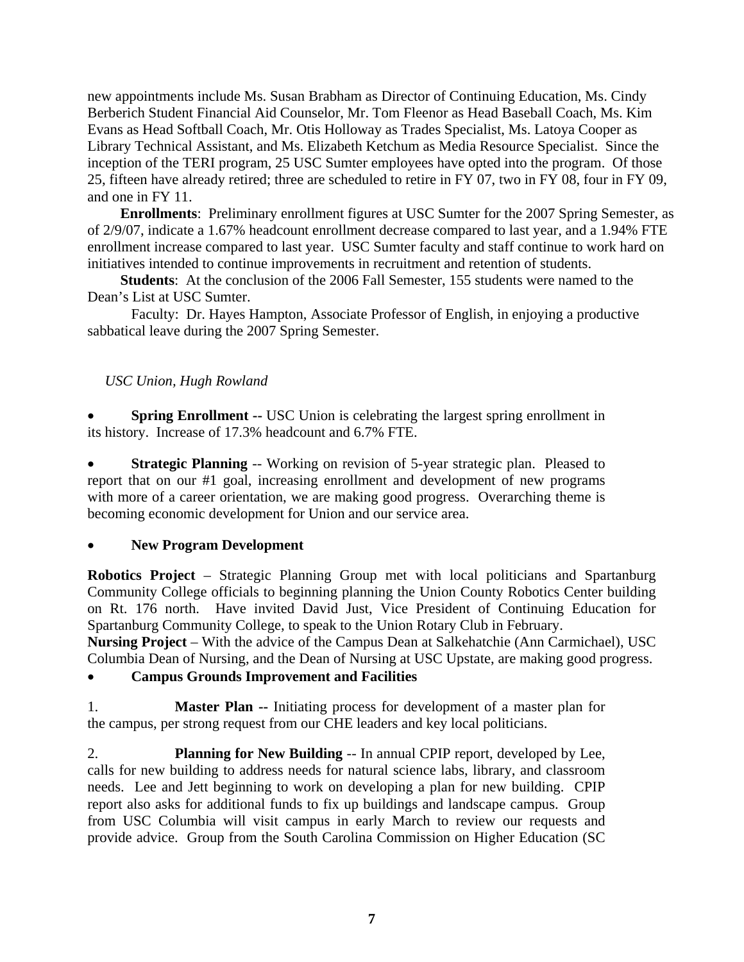new appointments include Ms. Susan Brabham as Director of Continuing Education, Ms. Cindy Berberich Student Financial Aid Counselor, Mr. Tom Fleenor as Head Baseball Coach, Ms. Kim Evans as Head Softball Coach, Mr. Otis Holloway as Trades Specialist, Ms. Latoya Cooper as Library Technical Assistant, and Ms. Elizabeth Ketchum as Media Resource Specialist. Since the inception of the TERI program, 25 USC Sumter employees have opted into the program. Of those 25, fifteen have already retired; three are scheduled to retire in FY 07, two in FY 08, four in FY 09, and one in FY 11.

**Enrollments**: Preliminary enrollment figures at USC Sumter for the 2007 Spring Semester, as of 2/9/07, indicate a 1.67% headcount enrollment decrease compared to last year, and a 1.94% FTE enrollment increase compared to last year. USC Sumter faculty and staff continue to work hard on initiatives intended to continue improvements in recruitment and retention of students.

**Students**: At the conclusion of the 2006 Fall Semester, 155 students were named to the Dean's List at USC Sumter.

 Faculty: Dr. Hayes Hampton, Associate Professor of English, in enjoying a productive sabbatical leave during the 2007 Spring Semester.

#### *USC Union, Hugh Rowland*

**Spring Enrollment --** USC Union is celebrating the largest spring enrollment in its history. Increase of 17.3% headcount and 6.7% FTE.

**Strategic Planning** -- Working on revision of 5-year strategic plan. Pleased to report that on our #1 goal, increasing enrollment and development of new programs with more of a career orientation, we are making good progress. Overarching theme is becoming economic development for Union and our service area.

#### • **New Program Development**

**Robotics Project** – Strategic Planning Group met with local politicians and Spartanburg Community College officials to beginning planning the Union County Robotics Center building on Rt. 176 north. Have invited David Just, Vice President of Continuing Education for Spartanburg Community College, to speak to the Union Rotary Club in February.

**Nursing Project** – With the advice of the Campus Dean at Salkehatchie (Ann Carmichael), USC Columbia Dean of Nursing, and the Dean of Nursing at USC Upstate, are making good progress.

#### • **Campus Grounds Improvement and Facilities**

1. **Master Plan --** Initiating process for development of a master plan for the campus, per strong request from our CHE leaders and key local politicians.

2. **Planning for New Building** -- In annual CPIP report, developed by Lee, calls for new building to address needs for natural science labs, library, and classroom needs. Lee and Jett beginning to work on developing a plan for new building. CPIP report also asks for additional funds to fix up buildings and landscape campus. Group from USC Columbia will visit campus in early March to review our requests and provide advice. Group from the South Carolina Commission on Higher Education (SC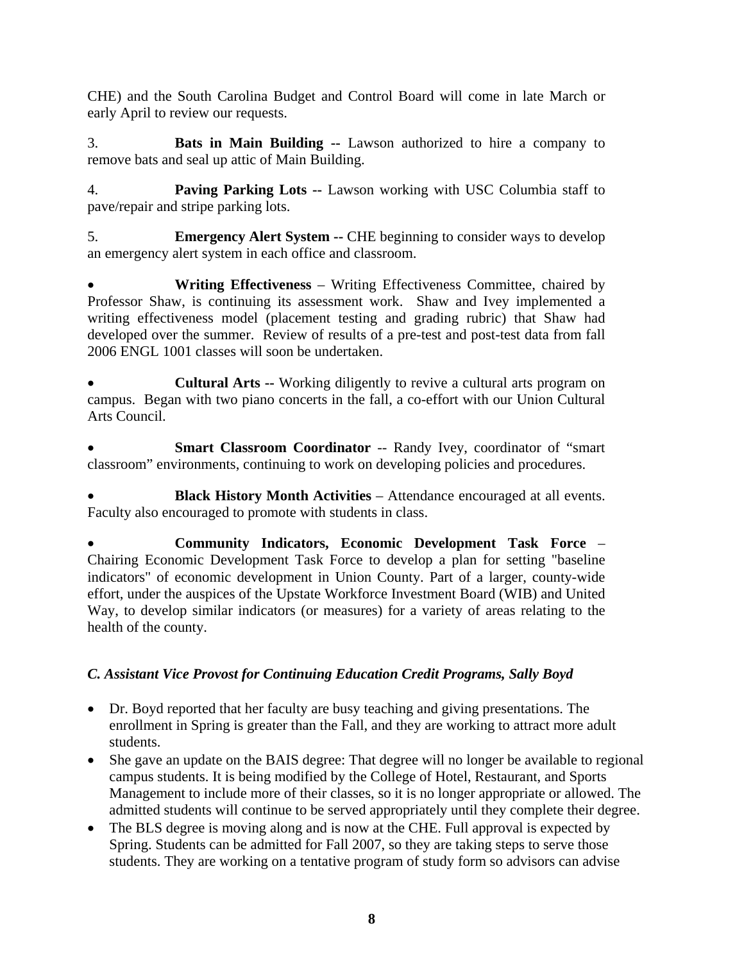CHE) and the South Carolina Budget and Control Board will come in late March or early April to review our requests.

3. **Bats in Main Building --** Lawson authorized to hire a company to remove bats and seal up attic of Main Building.

4. **Paving Parking Lots --** Lawson working with USC Columbia staff to pave/repair and stripe parking lots.

5. **Emergency Alert System --** CHE beginning to consider ways to develop an emergency alert system in each office and classroom.

• **Writing Effectiveness** – Writing Effectiveness Committee, chaired by Professor Shaw, is continuing its assessment work. Shaw and Ivey implemented a writing effectiveness model (placement testing and grading rubric) that Shaw had developed over the summer. Review of results of a pre-test and post-test data from fall 2006 ENGL 1001 classes will soon be undertaken.

• **Cultural Arts --** Working diligently to revive a cultural arts program on campus. Began with two piano concerts in the fall, a co-effort with our Union Cultural Arts Council.

Smart Classroom Coordinator -- Randy Ivey, coordinator of "smart classroom" environments, continuing to work on developing policies and procedures.

• **Black History Month Activities** – Attendance encouraged at all events. Faculty also encouraged to promote with students in class.

• **Community Indicators, Economic Development Task Force** – Chairing Economic Development Task Force to develop a plan for setting "baseline indicators" of economic development in Union County. Part of a larger, county-wide effort, under the auspices of the Upstate Workforce Investment Board (WIB) and United Way, to develop similar indicators (or measures) for a variety of areas relating to the health of the county.

# *C. Assistant Vice Provost for Continuing Education Credit Programs, Sally Boyd*

- Dr. Boyd reported that her faculty are busy teaching and giving presentations. The enrollment in Spring is greater than the Fall, and they are working to attract more adult students.
- She gave an update on the BAIS degree: That degree will no longer be available to regional campus students. It is being modified by the College of Hotel, Restaurant, and Sports Management to include more of their classes, so it is no longer appropriate or allowed. The admitted students will continue to be served appropriately until they complete their degree.
- The BLS degree is moving along and is now at the CHE. Full approval is expected by Spring. Students can be admitted for Fall 2007, so they are taking steps to serve those students. They are working on a tentative program of study form so advisors can advise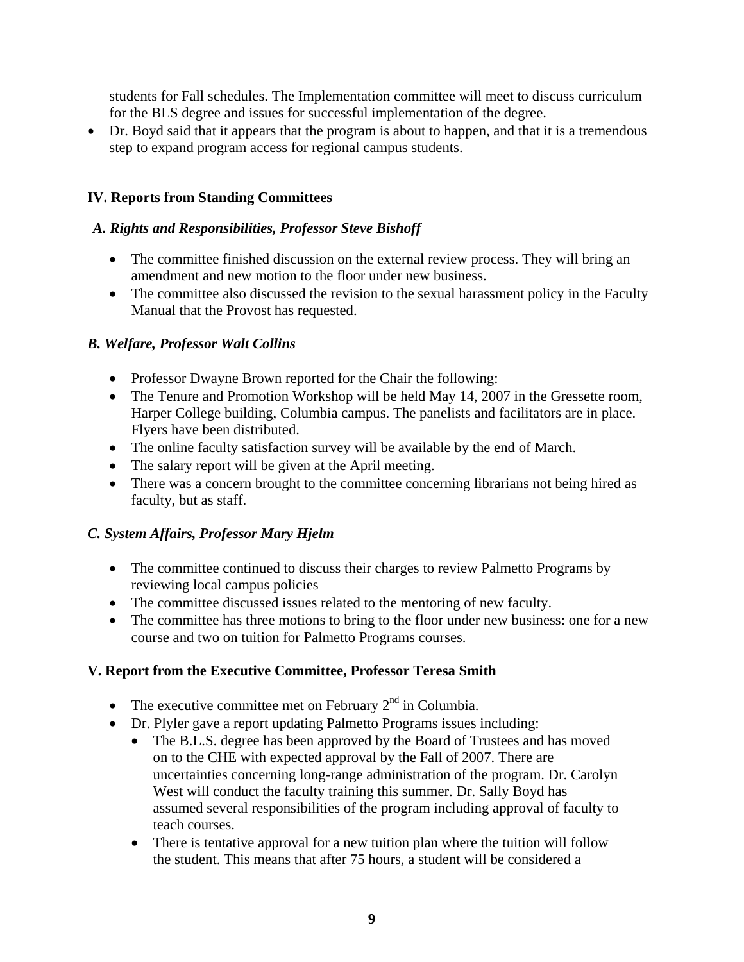students for Fall schedules. The Implementation committee will meet to discuss curriculum for the BLS degree and issues for successful implementation of the degree.

• Dr. Boyd said that it appears that the program is about to happen, and that it is a tremendous step to expand program access for regional campus students.

# **IV. Reports from Standing Committees**

# *A. Rights and Responsibilities, Professor Steve Bishoff*

- The committee finished discussion on the external review process. They will bring an amendment and new motion to the floor under new business.
- The committee also discussed the revision to the sexual harassment policy in the Faculty Manual that the Provost has requested.

# *B. Welfare, Professor Walt Collins*

- Professor Dwayne Brown reported for the Chair the following:
- The Tenure and Promotion Workshop will be held May 14, 2007 in the Gressette room, Harper College building, Columbia campus. The panelists and facilitators are in place. Flyers have been distributed.
- The online faculty satisfaction survey will be available by the end of March.
- The salary report will be given at the April meeting.
- There was a concern brought to the committee concerning librarians not being hired as faculty, but as staff.

# *C. System Affairs, Professor Mary Hjelm*

- The committee continued to discuss their charges to review Palmetto Programs by reviewing local campus policies
- The committee discussed issues related to the mentoring of new faculty.
- The committee has three motions to bring to the floor under new business: one for a new course and two on tuition for Palmetto Programs courses.

# **V. Report from the Executive Committee, Professor Teresa Smith**

- The executive committee met on February  $2<sup>nd</sup>$  in Columbia.
- Dr. Plyler gave a report updating Palmetto Programs issues including:
	- The B.L.S. degree has been approved by the Board of Trustees and has moved on to the CHE with expected approval by the Fall of 2007. There are uncertainties concerning long-range administration of the program. Dr. Carolyn West will conduct the faculty training this summer. Dr. Sally Boyd has assumed several responsibilities of the program including approval of faculty to teach courses.
	- There is tentative approval for a new tuition plan where the tuition will follow the student. This means that after 75 hours, a student will be considered a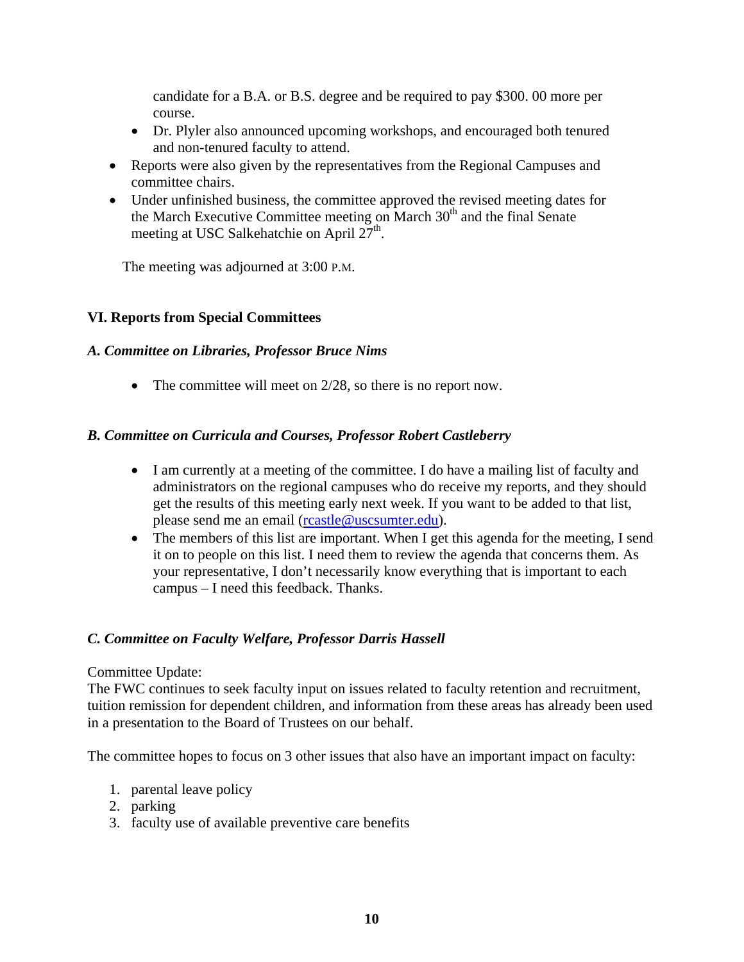candidate for a B.A. or B.S. degree and be required to pay \$300. 00 more per course.

- Dr. Plyler also announced upcoming workshops, and encouraged both tenured and non-tenured faculty to attend.
- Reports were also given by the representatives from the Regional Campuses and committee chairs.
- Under unfinished business, the committee approved the revised meeting dates for the March Executive Committee meeting on March  $30<sup>th</sup>$  and the final Senate meeting at USC Salkehatchie on April  $27<sup>th</sup>$ .

The meeting was adjourned at 3:00 P.M.

#### **VI. Reports from Special Committees**

#### *A. Committee on Libraries, Professor Bruce Nims*

• The committee will meet on 2/28, so there is no report now.

#### *B. Committee on Curricula and Courses, Professor Robert Castleberry*

- I am currently at a meeting of the committee. I do have a mailing list of faculty and administrators on the regional campuses who do receive my reports, and they should get the results of this meeting early next week. If you want to be added to that list, please send me an email ([rcastle@uscsumter.edu\)](mailto:rcastle@uscsumter.edu).
- The members of this list are important. When I get this agenda for the meeting, I send it on to people on this list. I need them to review the agenda that concerns them. As your representative, I don't necessarily know everything that is important to each campus – I need this feedback. Thanks.

#### *C. Committee on Faculty Welfare, Professor Darris Hassell*

#### Committee Update:

The FWC continues to seek faculty input on issues related to faculty retention and recruitment, tuition remission for dependent children, and information from these areas has already been used in a presentation to the Board of Trustees on our behalf.

The committee hopes to focus on 3 other issues that also have an important impact on faculty:

- 1. parental leave policy
- 2. parking
- 3. faculty use of available preventive care benefits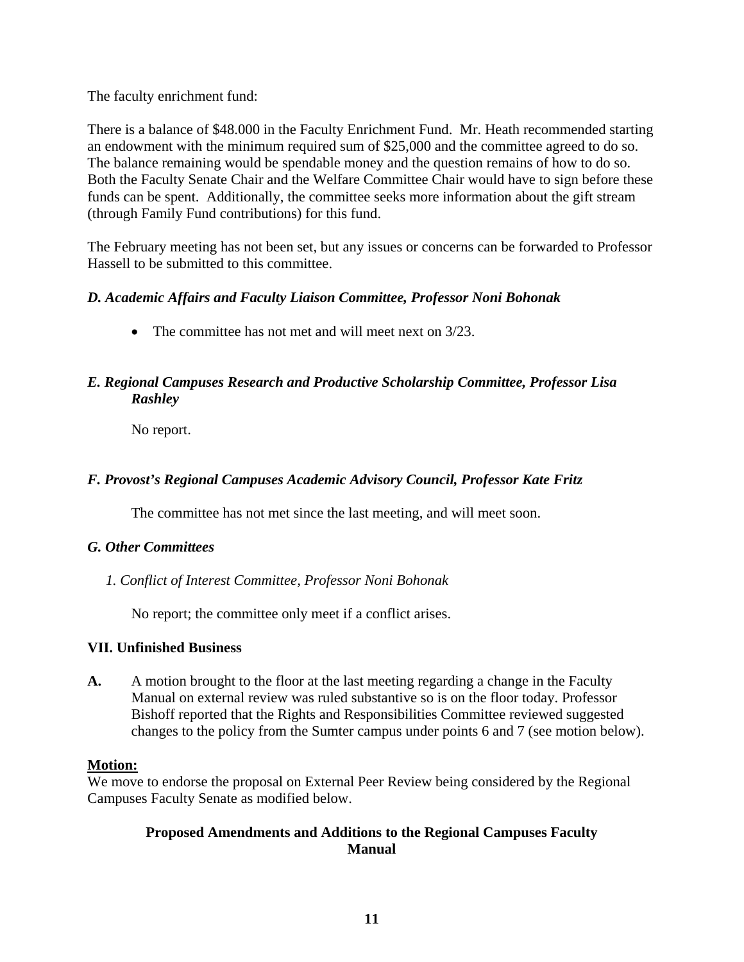The faculty enrichment fund:

There is a balance of \$48.000 in the Faculty Enrichment Fund. Mr. Heath recommended starting an endowment with the minimum required sum of \$25,000 and the committee agreed to do so. The balance remaining would be spendable money and the question remains of how to do so. Both the Faculty Senate Chair and the Welfare Committee Chair would have to sign before these funds can be spent. Additionally, the committee seeks more information about the gift stream (through Family Fund contributions) for this fund.

The February meeting has not been set, but any issues or concerns can be forwarded to Professor Hassell to be submitted to this committee.

# *D. Academic Affairs and Faculty Liaison Committee, Professor Noni Bohonak*

• The committee has not met and will meet next on  $3/23$ .

# *E. Regional Campuses Research and Productive Scholarship Committee, Professor Lisa Rashley*

No report.

# *F. Provost's Regional Campuses Academic Advisory Council, Professor Kate Fritz*

The committee has not met since the last meeting, and will meet soon.

# *G. Other Committees*

*1. Conflict of Interest Committee, Professor Noni Bohonak* 

No report; the committee only meet if a conflict arises.

# **VII. Unfinished Business**

**A.** A motion brought to the floor at the last meeting regarding a change in the Faculty Manual on external review was ruled substantive so is on the floor today. Professor Bishoff reported that the Rights and Responsibilities Committee reviewed suggested changes to the policy from the Sumter campus under points 6 and 7 (see motion below).

# **Motion:**

We move to endorse the proposal on External Peer Review being considered by the Regional Campuses Faculty Senate as modified below.

# **Proposed Amendments and Additions to the Regional Campuses Faculty Manual**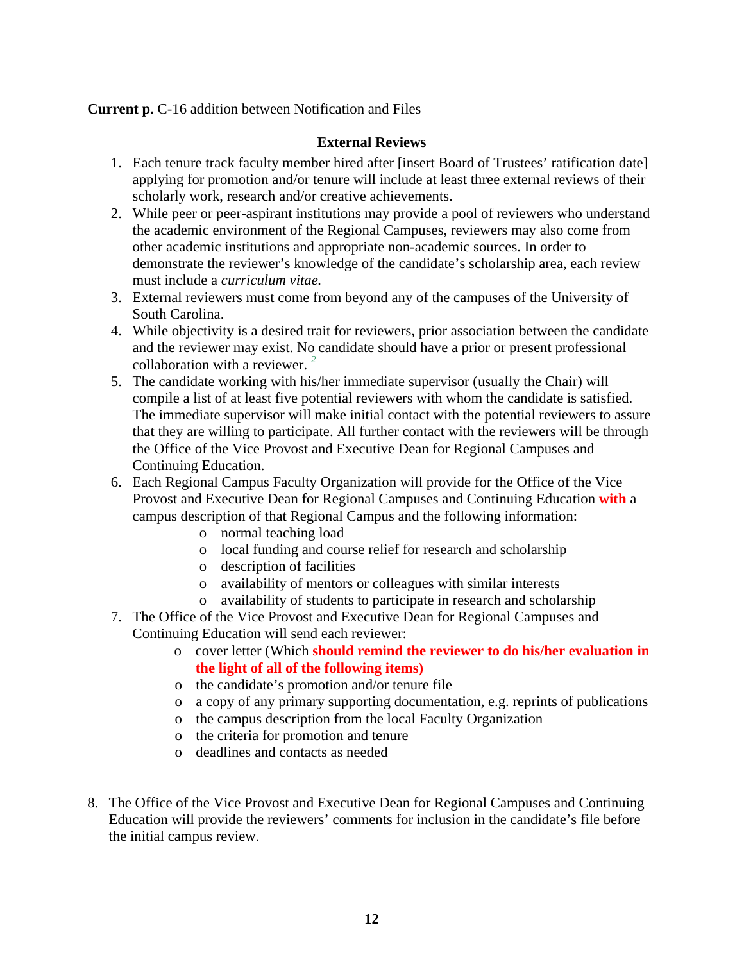**Current p.** C-16 addition between Notification and Files

#### **External Reviews**

- 1. Each tenure track faculty member hired after [insert Board of Trustees' ratification date] applying for promotion and/or tenure will include at least three external reviews of their scholarly work, research and/or creative achievements.
- 2. While peer or peer-aspirant institutions may provide a pool of reviewers who understand the academic environment of the Regional Campuses, reviewers may also come from other academic institutions and appropriate non-academic sources. In order to demonstrate the reviewer's knowledge of the candidate's scholarship area, each review must include a *curriculum vitae.*
- 3. External reviewers must come from beyond any of the campuses of the University of South Carolina.
- 4. While objectivity is a desired trait for reviewers, prior association between the candidate and the reviewer may exist. No candidate should have a prior or present professional collaboration with a reviewer. *<sup>2</sup>*
- 5. The candidate working with his/her immediate supervisor (usually the Chair) will compile a list of at least five potential reviewers with whom the candidate is satisfied. The immediate supervisor will make initial contact with the potential reviewers to assure that they are willing to participate. All further contact with the reviewers will be through the Office of the Vice Provost and Executive Dean for Regional Campuses and Continuing Education.
- 6. Each Regional Campus Faculty Organization will provide for the Office of the Vice Provost and Executive Dean for Regional Campuses and Continuing Education **with** a campus description of that Regional Campus and the following information:
	- o normal teaching load
	- o local funding and course relief for research and scholarship
	- o description of facilities
	- o availability of mentors or colleagues with similar interests
	- o availability of students to participate in research and scholarship
- 7. The Office of the Vice Provost and Executive Dean for Regional Campuses and Continuing Education will send each reviewer:
	- o cover letter (Which **should remind the reviewer to do his/her evaluation in the light of all of the following items)**
	- o the candidate's promotion and/or tenure file
	- o a copy of any primary supporting documentation, e.g. reprints of publications
	- o the campus description from the local Faculty Organization
	- o the criteria for promotion and tenure
	- o deadlines and contacts as needed
- 8. The Office of the Vice Provost and Executive Dean for Regional Campuses and Continuing Education will provide the reviewers' comments for inclusion in the candidate's file before the initial campus review.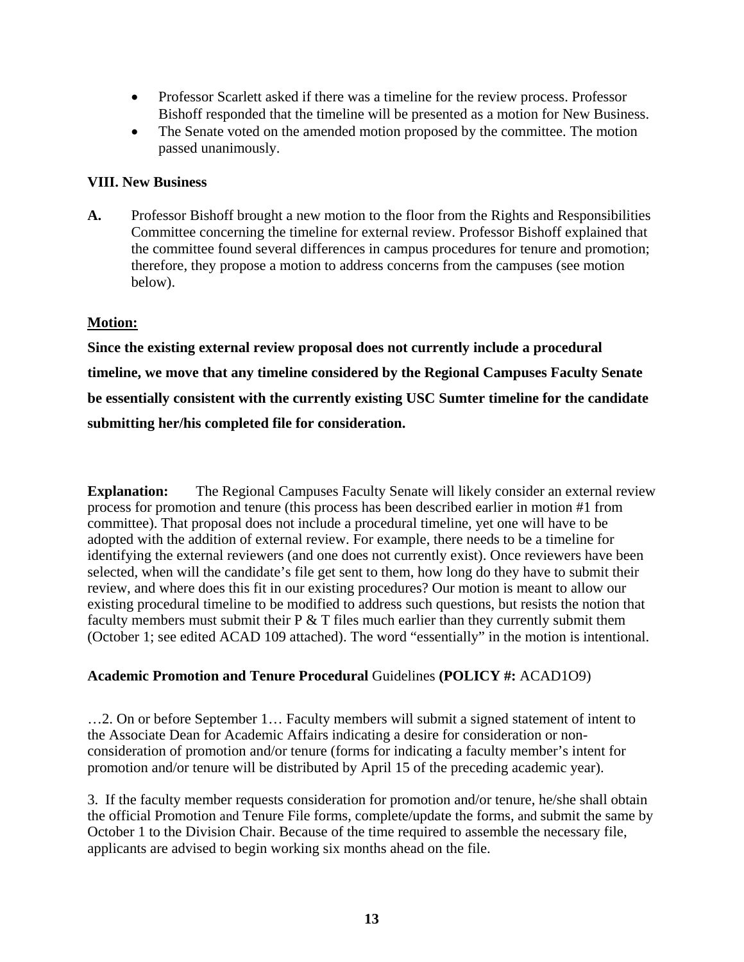- Professor Scarlett asked if there was a timeline for the review process. Professor Bishoff responded that the timeline will be presented as a motion for New Business.
- The Senate voted on the amended motion proposed by the committee. The motion passed unanimously.

#### **VIII. New Business**

**A.** Professor Bishoff brought a new motion to the floor from the Rights and Responsibilities Committee concerning the timeline for external review. Professor Bishoff explained that the committee found several differences in campus procedures for tenure and promotion; therefore, they propose a motion to address concerns from the campuses (see motion below).

#### **Motion:**

**Since the existing external review proposal does not currently include a procedural timeline, we move that any timeline considered by the Regional Campuses Faculty Senate be essentially consistent with the currently existing USC Sumter timeline for the candidate submitting her/his completed file for consideration.** 

**Explanation:** The Regional Campuses Faculty Senate will likely consider an external review process for promotion and tenure (this process has been described earlier in motion #1 from committee). That proposal does not include a procedural timeline, yet one will have to be adopted with the addition of external review. For example, there needs to be a timeline for identifying the external reviewers (and one does not currently exist). Once reviewers have been selected, when will the candidate's file get sent to them, how long do they have to submit their review, and where does this fit in our existing procedures? Our motion is meant to allow our existing procedural timeline to be modified to address such questions, but resists the notion that faculty members must submit their  $P \& T$  files much earlier than they currently submit them (October 1; see edited ACAD 109 attached). The word "essentially" in the motion is intentional.

# **Academic Promotion and Tenure Procedural** Guidelines **(POLICY #:** ACAD1O9)

…2. On or before September 1… Faculty members will submit a signed statement of intent to the Associate Dean for Academic Affairs indicating a desire for consideration or nonconsideration of promotion and/or tenure (forms for indicating a faculty member's intent for promotion and/or tenure will be distributed by April 15 of the preceding academic year).

3. If the faculty member requests consideration for promotion and/or tenure, he/she shall obtain the official Promotion and Tenure File forms, complete/update the forms, and submit the same by October 1 to the Division Chair. Because of the time required to assemble the necessary file, applicants are advised to begin working six months ahead on the file.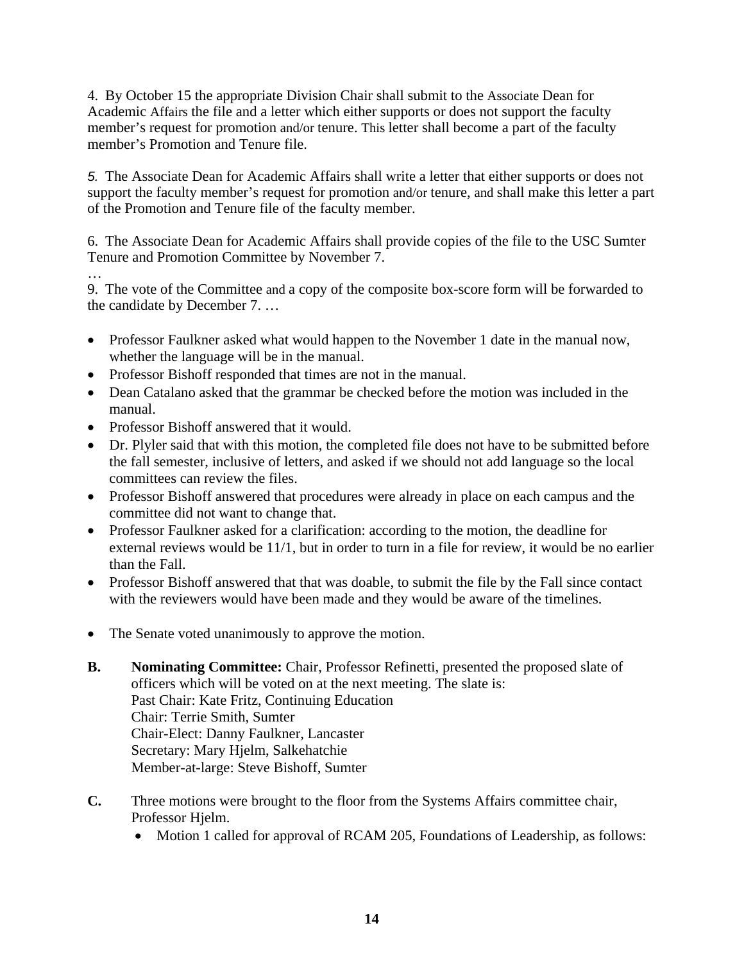4. By October 15 the appropriate Division Chair shall submit to the Associate Dean for Academic Affairs the file and a letter which either supports or does not support the faculty member's request for promotion and/or tenure. This letter shall become a part of the faculty member's Promotion and Tenure file.

*5.* The Associate Dean for Academic Affairs shall write a letter that either supports or does not support the faculty member's request for promotion and/or tenure, and shall make this letter a part of the Promotion and Tenure file of the faculty member.

6. The Associate Dean for Academic Affairs shall provide copies of the file to the USC Sumter Tenure and Promotion Committee by November 7.

…

9. The vote of the Committee and a copy of the composite box-score form will be forwarded to the candidate by December 7. …

- Professor Faulkner asked what would happen to the November 1 date in the manual now, whether the language will be in the manual.
- Professor Bishoff responded that times are not in the manual.
- Dean Catalano asked that the grammar be checked before the motion was included in the manual.
- Professor Bishoff answered that it would.
- Dr. Plyler said that with this motion, the completed file does not have to be submitted before the fall semester, inclusive of letters, and asked if we should not add language so the local committees can review the files.
- Professor Bishoff answered that procedures were already in place on each campus and the committee did not want to change that.
- Professor Faulkner asked for a clarification: according to the motion, the deadline for external reviews would be 11/1, but in order to turn in a file for review, it would be no earlier than the Fall.
- Professor Bishoff answered that that was doable, to submit the file by the Fall since contact with the reviewers would have been made and they would be aware of the timelines.
- The Senate voted unanimously to approve the motion.
- **B.** Nominating Committee: Chair, Professor Refinetti, presented the proposed slate of officers which will be voted on at the next meeting. The slate is: Past Chair: Kate Fritz, Continuing Education Chair: Terrie Smith, Sumter Chair-Elect: Danny Faulkner, Lancaster Secretary: Mary Hjelm, Salkehatchie Member-at-large: Steve Bishoff, Sumter
- **C.** Three motions were brought to the floor from the Systems Affairs committee chair, Professor Hjelm.
	- Motion 1 called for approval of RCAM 205, Foundations of Leadership, as follows: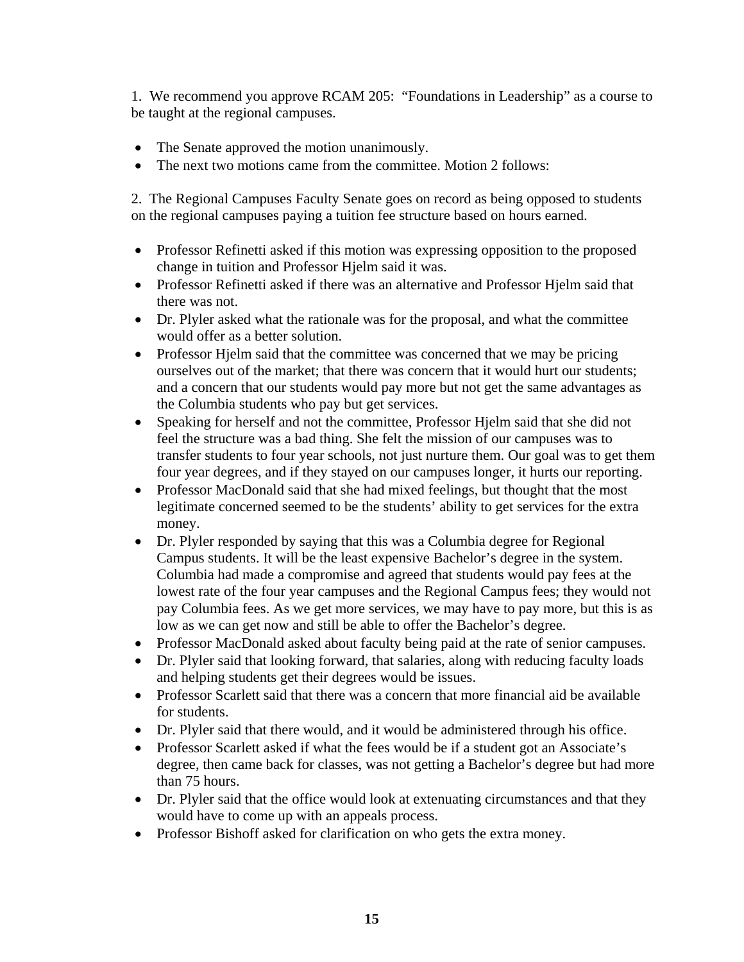1. We recommend you approve RCAM 205: "Foundations in Leadership" as a course to be taught at the regional campuses.

- The Senate approved the motion unanimously.
- The next two motions came from the committee. Motion 2 follows:

 2. The Regional Campuses Faculty Senate goes on record as being opposed to students on the regional campuses paying a tuition fee structure based on hours earned.

- Professor Refinetti asked if this motion was expressing opposition to the proposed change in tuition and Professor Hjelm said it was.
- Professor Refinetti asked if there was an alternative and Professor Hjelm said that there was not.
- Dr. Plyler asked what the rationale was for the proposal, and what the committee would offer as a better solution.
- Professor Hjelm said that the committee was concerned that we may be pricing ourselves out of the market; that there was concern that it would hurt our students; and a concern that our students would pay more but not get the same advantages as the Columbia students who pay but get services.
- Speaking for herself and not the committee, Professor Hielm said that she did not feel the structure was a bad thing. She felt the mission of our campuses was to transfer students to four year schools, not just nurture them. Our goal was to get them four year degrees, and if they stayed on our campuses longer, it hurts our reporting.
- Professor MacDonald said that she had mixed feelings, but thought that the most legitimate concerned seemed to be the students' ability to get services for the extra money.
- Dr. Plyler responded by saying that this was a Columbia degree for Regional Campus students. It will be the least expensive Bachelor's degree in the system. Columbia had made a compromise and agreed that students would pay fees at the lowest rate of the four year campuses and the Regional Campus fees; they would not pay Columbia fees. As we get more services, we may have to pay more, but this is as low as we can get now and still be able to offer the Bachelor's degree.
- Professor MacDonald asked about faculty being paid at the rate of senior campuses.
- Dr. Plyler said that looking forward, that salaries, along with reducing faculty loads and helping students get their degrees would be issues.
- Professor Scarlett said that there was a concern that more financial aid be available for students.
- Dr. Plyler said that there would, and it would be administered through his office.
- Professor Scarlett asked if what the fees would be if a student got an Associate's degree, then came back for classes, was not getting a Bachelor's degree but had more than 75 hours.
- Dr. Plyler said that the office would look at extenuating circumstances and that they would have to come up with an appeals process.
- Professor Bishoff asked for clarification on who gets the extra money.